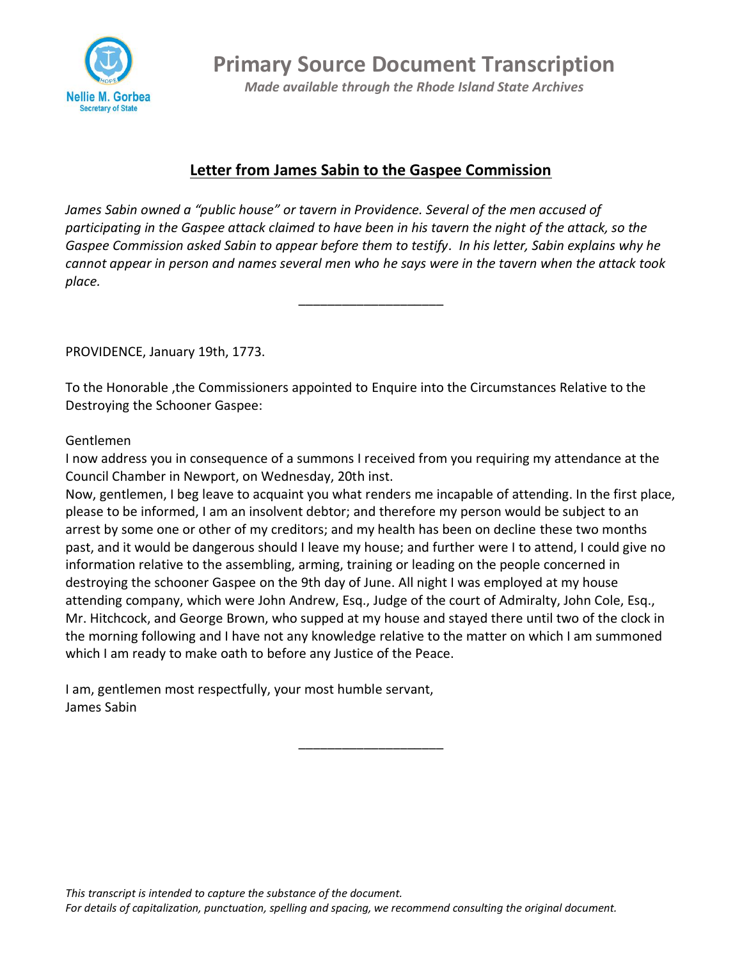

**Primary Source Document Transcription**

*Made available through the Rhode Island State Archives*

## **Letter from James Sabin to the Gaspee Commission**

*James Sabin owned a "public house" or tavern in Providence. Several of the men accused of participating in the Gaspee attack claimed to have been in his tavern the night of the attack, so the Gaspee Commission asked Sabin to appear before them to testify. In his letter, Sabin explains why he cannot appear in person and names several men who he says were in the tavern when the attack took place.*

\_\_\_\_\_\_\_\_\_\_\_\_\_\_\_\_\_\_\_\_

PROVIDENCE, January 19th, 1773.

To the Honorable ,the Commissioners appointed to Enquire into the Circumstances Relative to the Destroying the Schooner Gaspee:

## Gentlemen

I now address you in consequence of a summons I received from you requiring my attendance at the Council Chamber in Newport, on Wednesday, 20th inst.

Now, gentlemen, I beg leave to acquaint you what renders me incapable of attending. In the first place, please to be informed, I am an insolvent debtor; and therefore my person would be subject to an arrest by some one or other of my creditors; and my health has been on decline these two months past, and it would be dangerous should I leave my house; and further were I to attend, I could give no information relative to the assembling, arming, training or leading on the people concerned in destroying the schooner Gaspee on the 9th day of June. All night I was employed at my house attending company, which were John Andrew, Esq., Judge of the court of Admiralty, John Cole, Esq., Mr. Hitchcock, and George Brown, who supped at my house and stayed there until two of the clock in the morning following and I have not any knowledge relative to the matter on which I am summoned which I am ready to make oath to before any Justice of the Peace.

\_\_\_\_\_\_\_\_\_\_\_\_\_\_\_\_\_\_\_\_

I am, gentlemen most respectfully, your most humble servant, James Sabin